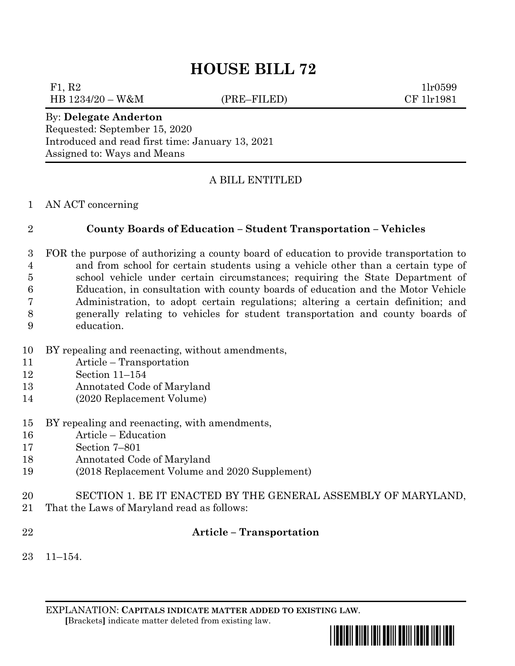# **HOUSE BILL 72**

F1, R2  $1\text{lr}0599$ HB 1234/20 – W&M (PRE–FILED) CF 1lr1981

## By: **Delegate Anderton** Requested: September 15, 2020

Introduced and read first time: January 13, 2021 Assigned to: Ways and Means

## A BILL ENTITLED

### AN ACT concerning

## **County Boards of Education – Student Transportation – Vehicles**

 FOR the purpose of authorizing a county board of education to provide transportation to and from school for certain students using a vehicle other than a certain type of school vehicle under certain circumstances; requiring the State Department of Education, in consultation with county boards of education and the Motor Vehicle Administration, to adopt certain regulations; altering a certain definition; and generally relating to vehicles for student transportation and county boards of education.

- BY repealing and reenacting, without amendments,
- Article Transportation
- Section 11–154
- Annotated Code of Maryland
- (2020 Replacement Volume)
- BY repealing and reenacting, with amendments,
- Article Education
- Section 7–801
- Annotated Code of Maryland
- (2018 Replacement Volume and 2020 Supplement)
- SECTION 1. BE IT ENACTED BY THE GENERAL ASSEMBLY OF MARYLAND,
- That the Laws of Maryland read as follows:
- 

## **Article – Transportation**

11–154.

EXPLANATION: **CAPITALS INDICATE MATTER ADDED TO EXISTING LAW**.  **[**Brackets**]** indicate matter deleted from existing law.

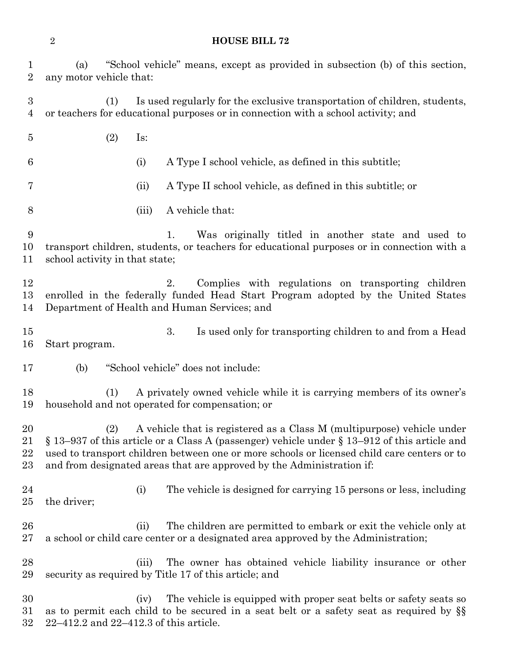**HOUSE BILL 72**

 (a) "School vehicle" means, except as provided in subsection (b) of this section, any motor vehicle that: (1) Is used regularly for the exclusive transportation of children, students, or teachers for educational purposes or in connection with a school activity; and (2) Is: (i) A Type I school vehicle, as defined in this subtitle; (ii) A Type II school vehicle, as defined in this subtitle; or (iii) A vehicle that: 1. Was originally titled in another state and used to transport children, students, or teachers for educational purposes or in connection with a school activity in that state; 12 2. Complies with regulations on transporting children enrolled in the federally funded Head Start Program adopted by the United States Department of Health and Human Services; and 3. Is used only for transporting children to and from a Head Start program. (b) "School vehicle" does not include: (1) A privately owned vehicle while it is carrying members of its owner's household and not operated for compensation; or (2) A vehicle that is registered as a Class M (multipurpose) vehicle under § 13–937 of this article or a Class A (passenger) vehicle under § 13–912 of this article and used to transport children between one or more schools or licensed child care centers or to and from designated areas that are approved by the Administration if: (i) The vehicle is designed for carrying 15 persons or less, including the driver; 26 (ii) The children are permitted to embark or exit the vehicle only at a school or child care center or a designated area approved by the Administration; (iii) The owner has obtained vehicle liability insurance or other security as required by Title 17 of this article; and (iv) The vehicle is equipped with proper seat belts or safety seats so as to permit each child to be secured in a seat belt or a safety seat as required by §§ 22–412.2 and 22–412.3 of this article.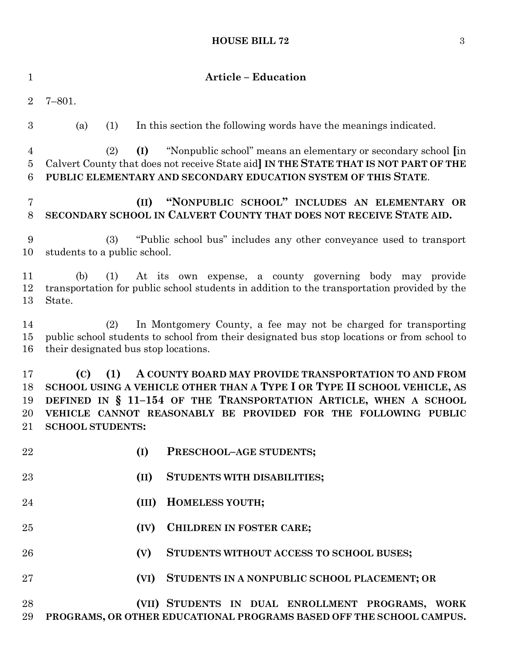#### **HOUSE BILL 72** 3

| $\mathbf{1}$               | <b>Article - Education</b>                                                                                                                                                                                                                                                                                       |
|----------------------------|------------------------------------------------------------------------------------------------------------------------------------------------------------------------------------------------------------------------------------------------------------------------------------------------------------------|
| $\overline{2}$             | $7 - 801.$                                                                                                                                                                                                                                                                                                       |
| 3                          | (1)<br>In this section the following words have the meanings indicated.<br>(a)                                                                                                                                                                                                                                   |
| 4<br>5<br>$\boldsymbol{6}$ | (I)<br>"Nonpublic school" means an elementary or secondary school [in<br>(2)<br>Calvert County that does not receive State aid] IN THE STATE THAT IS NOT PART OF THE<br>PUBLIC ELEMENTARY AND SECONDARY EDUCATION SYSTEM OF THIS STATE.                                                                          |
| 7<br>8                     | "NONPUBLIC SCHOOL" INCLUDES AN ELEMENTARY OR<br>(II)<br>SECONDARY SCHOOL IN CALVERT COUNTY THAT DOES NOT RECEIVE STATE AID.                                                                                                                                                                                      |
| 9<br>10                    | "Public school bus" includes any other conveyance used to transport<br>(3)<br>students to a public school.                                                                                                                                                                                                       |
| 11<br>12<br>13             | At its own expense, a county governing body may provide<br>(b)<br>(1)<br>transportation for public school students in addition to the transportation provided by the<br>State.                                                                                                                                   |
| 14<br>15<br>16             | In Montgomery County, a fee may not be charged for transporting<br>(2)<br>public school students to school from their designated bus stop locations or from school to<br>their designated bus stop locations.                                                                                                    |
| 17<br>18<br>19<br>20<br>21 | (C)<br>(1)<br>A COUNTY BOARD MAY PROVIDE TRANSPORTATION TO AND FROM<br>SCHOOL USING A VEHICLE OTHER THAN A TYPE I OR TYPE II SCHOOL VEHICLE, AS<br>DEFINED IN § 11-154 OF THE TRANSPORTATION ARTICLE, WHEN A SCHOOL<br>VEHICLE CANNOT REASONABLY BE PROVIDED FOR THE FOLLOWING PUBLIC<br><b>SCHOOL STUDENTS:</b> |
| 22                         | (I)<br>PRESCHOOL-AGE STUDENTS;                                                                                                                                                                                                                                                                                   |
| 23                         | (II)<br><b>STUDENTS WITH DISABILITIES;</b>                                                                                                                                                                                                                                                                       |
| 24                         | HOMELESS YOUTH;<br>(III)                                                                                                                                                                                                                                                                                         |
| 25                         | CHILDREN IN FOSTER CARE;<br>(IV)                                                                                                                                                                                                                                                                                 |
| 26                         | STUDENTS WITHOUT ACCESS TO SCHOOL BUSES;<br>(V)                                                                                                                                                                                                                                                                  |
| 27                         | (VI)<br>STUDENTS IN A NONPUBLIC SCHOOL PLACEMENT; OR                                                                                                                                                                                                                                                             |
| 28<br>29                   | (VII) STUDENTS IN DUAL ENROLLMENT PROGRAMS, WORK<br>PROGRAMS, OR OTHER EDUCATIONAL PROGRAMS BASED OFF THE SCHOOL CAMPUS.                                                                                                                                                                                         |